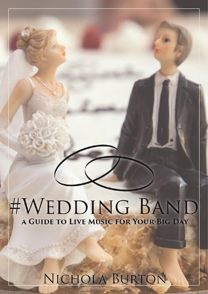# #WEDDING BAND A GUIDE TO LIVE MUSIC FOR YOUR BIG DAY

# NICHOLA BURTON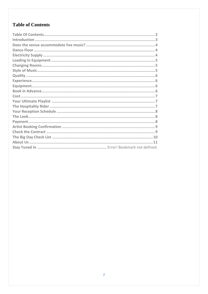# <span id="page-1-0"></span>**Table of Contents**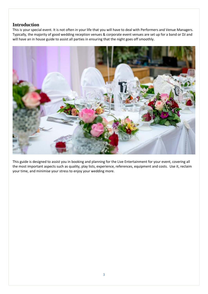#### <span id="page-2-0"></span>**Introduction**

This is your special event. It is not often in your life that you will have to deal with Performers and Venue Managers. Typically, the majority of good wedding reception venues & corporate event venues are set up for a band or DJ and will have an in house guide to assist all parties in ensuring that the night goes off smoothly.



This guide is designed to assist you in booking and planning for the Live Entertainment for your event, covering all the most important aspects such as quality, play lists, experience, references, equipment and costs. Use it, reclaim your time, and minimise your stress to enjoy your wedding more.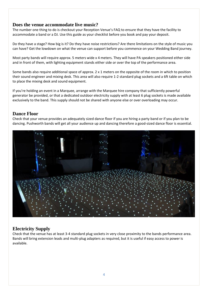#### <span id="page-3-0"></span>**Does the venue accommodate live music?**

The number one thing to do is checkout your Reception Venue's FAQ to ensure that they have the facility to accommodate a band or a DJ. Use this guide as your checklist before you book and pay your deposit.

Do they have a stage? How big is it? Do they have noise restrictions? Are there limitations on the style of music you can have? Get the lowdown on what the venue can support before you commence on your Wedding Band journey.

Most party bands will require approx. 5 meters wide x 4 meters. They will have PA speakers positioned either side and in front of them, with lighting equipment stands either side or over the top of the performance area.

Some bands also require additional space of approx.  $2 \times 1$  meters on the opposite of the room in which to position their sound engineer and mixing desk. This area will also require 1-2 standard plug sockets and a 6ft table on which to place the mixing desk and sound equipment.

If you're holding an event in a Marquee, arrange with the Marquee hire company that sufficiently powerful generator be provided, or that a dedicated outdoor electricity supply with at least 6 plug sockets is made available exclusively to the band. This supply should not be shared with anyone else or over overloading may occur.

### <span id="page-3-1"></span>**Dance Floor**

Check that your venue provides an adequately sized dance floor if you are hiring a party band or if you plan to be dancing. Pushworth bands will get all your audience up and dancing therefore a good-sized dance floor is essential.



# <span id="page-3-2"></span>**Electricity Supply**

Check that the venue has at least 3-4 standard plug sockets in very close proximity to the bands performance area. Bands will bring extension leads and multi-plug adapters as required, but it is useful if easy access to power is available.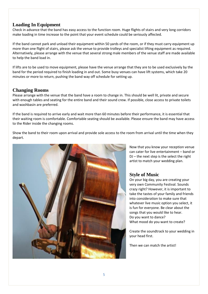# <span id="page-4-0"></span>**Loading In Equipment**

Check in advance that the band has easy access to the function room. Huge flights of stairs and very long corridors make loading in time increase to the point that your event schedule could be seriously affected.

If the band cannot park and unload their equipment within 50 yards of the room, or if they must carry equipment up more than one flight of stairs, please ask the venue to provide trolleys and specialist lifting equipment as required. Alternatively, please arrange with the venue that several strong male members of the venue staff are made available to help the band load in.

If lifts are to be used to move equipment, please have the venue arrange that they are to be used exclusively by the band for the period required to finish loading in and out. Some busy venues can have lift systems, which take 20 minutes or more to return, pushing the band way off schedule for setting up.

### <span id="page-4-1"></span>**Changing Rooms**

Please arrange with the venue that the band have a room to change in. This should be well lit, private and secure with enough tables and seating for the entire band and their sound crew. If possible, close access to private toilets and washbasin are preferred.

If the band is required to arrive early and wait more than 60 minutes before their performance, it is essential that their waiting room is comfortable. Comfortable seating should be available. Please ensure the band may have access to the Rider inside the changing rooms.

Show the band to their room upon arrival and provide sole access to the room from arrival until the time when they depart.



Now that you know your reception venue can cater for live entertainment – band or DJ – the next step is the select the right artist to match your wedding plan.

# <span id="page-4-2"></span>**Style of Music**

On your big day, you are creating your very own Community Festival. Sounds crazy right? However, it is important to take the tastes of your family and friends into consideration to make sure that whatever live music option you select, it is fun for everyone. Be clear about the songs that you would like to hear. Do you want to dance? What mood do you want to create?

Create the soundtrack to your wedding in your head first.

Then we can match the artist!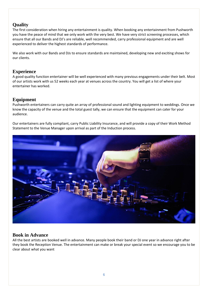# <span id="page-5-0"></span>**Quality**

The first consideration when hiring any entertainment is quality. When booking any entertainment from Pushworth you have the peace of mind that we only work with the very best. We have very strict screening processes, which ensure that all our Bands and DJ's are reliable, well recommended, carry professional equipment and are well experienced to deliver the highest standards of performance.

We also work with our Bands and DJs to ensure standards are maintained, developing new and exciting shows for our clients.

# <span id="page-5-1"></span>**Experience**

A good quality function entertainer will be well experienced with many previous engagements under their belt. Most of our artists work with us 52 weeks each year at venues across the country. You will get a list of where your entertainer has worked.

# <span id="page-5-2"></span>**Equipment**

Pushworth entertainers can carry quite an array of professional sound and lighting equipment to weddings. Once we know the capacity of the venue and the total guest tally, we can ensure that the equipment can cater for your audience.

Our entertainers are fully compliant, carry Public Liability Insurance, and will provide a copy of their Work Method Statement to the Venue Manager upon arrival as part of the Induction process.



# <span id="page-5-3"></span>**Book in Advance**

All the best artists are booked well in advance. Many people book their band or DJ one year in advance right after they book the Reception Venue. The entertainment can make or break your special event so we encourage you to be clear about what you want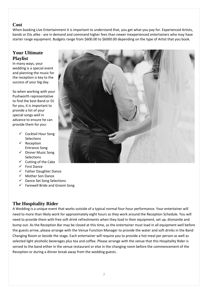#### <span id="page-6-0"></span>**Cost**

When booking Live Entertainment it is important to understand that, you get what you pay for. Experienced Artists, bands or DJs alike - are in demand and command higher fees than newer inexperienced entertainers who may have starter range equipment. Budgets range from \$600.00 to \$6000.00 depending on the type of Artist that you book.

# <span id="page-6-1"></span>**Your Ultimate Playlist**

In many ways, your wedding is a special event and planning the music for the reception is key to the success of your big day.

So when working with your Pushworth representative to find the best Band or DJ for you, it is important to provide a list of your special songs well in advance to ensure he can provide them for you:

- ✓ Cocktail Hour Song **Selections**
- ✓ Reception Entrance Song
- ✓ Dinner Music Song **Selections**
- $\checkmark$  Cutting of the Cake
- ✓ First Dance
- $\checkmark$  Father Daughter Dance
- ✓ Mother Son Dance
- ✓ Dance Set Song Selections
- $\checkmark$  Farewell Bride and Groom Song

# <span id="page-6-2"></span>**The Hospitality Rider**

A Wedding is a unique event that works outside of a typical normal four-hour performance. Your entertainer will need to more than likely work for approximately eight hours as they work around the Reception Schedule. You will need to provide them with free soft drink refreshments when they load in their equipment, set up, dismantle and bump out. As the Reception Bar may be closed at this time, as the entertainer must load in all equipment well before the guests arrive, please arrange with the Venue Function Manager to provide the water and soft drinks in the Band Changing Room or beside the stage. Each entertainer will require you to provide a hot meal per person as well as selected light alcoholic beverages plus tea and coffee. Please arrange with the venue that this Hospitality Rider is served to the band either in the venue restaurant or else in the changing room before the commencement of the Reception or during a dinner break away from the wedding guests.

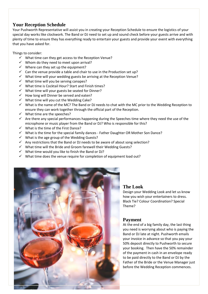### <span id="page-7-0"></span>**Your Reception Schedule**

Your Pushworth Representative will assist you in creating your Reception Schedule to ensure the logistics of your special day works like clockwork. The Band or DJ need to set up and sound check before your guests arrive and with plenty of time to ensure they has everything ready to entertain your guests and provide your event with everything that you have asked for.

Things to consider:

- $\checkmark$  What time can they get access to the Reception Venue?
- ✓ Whom do they need to meet upon arrival?
- $\checkmark$  Where can they set up the equipment?
- $\checkmark$  Can the venue provide a table and chair to use in the Production set up?
- ✓ What time will your wedding guests be arriving at the Reception Venue?
- $\checkmark$  What time will you be serving canapes?
- ✓ What time is Cocktail Hour? Start and Finish times?
- $\checkmark$  What time will your guests be seated for Dinner?
- ✓ How long will Dinner be served and eaten?
- $\checkmark$  What time will you cut the Wedding Cake?
- ✓ What is the name of the MC? The Band or DJ needs to chat with the MC prior to the Wedding Reception to ensure they can work together through the official part of the Reception.
- $\checkmark$  What time are the speeches?
- $\checkmark$  Are there any special performances happening during the Speeches time where they need the use of the microphone or music player from the Band or DJ? Who is responsible for this?
- ✓ What is the time of the First Dance?
- ✓ What is the time for the special family dances Father Daughter OR Mother Son Dance?
- $\checkmark$  What is the age group of the Wedding Guests?
- $\checkmark$  Any restrictions that the Band or DJ needs to be aware of about song selection?
- ✓ What time will the Bride and Groom farewell their Wedding Guests?
- $\checkmark$  What time would you like to finish the Band or DJ?
- ✓ What time does the venue require for completion of equipment load out?



#### <span id="page-7-1"></span>**The Look**

Design your Wedding Look and let us know how you wish your entertainers to dress. Black Tie? Colour Coordination? Special Theme?

### **Payment**

At the end of a big family day, the last thing you need is worrying about who is paying the Band or DJ late at night. Pushworth emails your invoice in advance so that you pay your 50% deposit directly to Pushworth to secure your booking. Then have the 50% remainder of the payment in cash in an envelope ready to be paid directly to the Band or DJ by the Father of the Bride or the Venue Manager just before the Wedding Reception commences.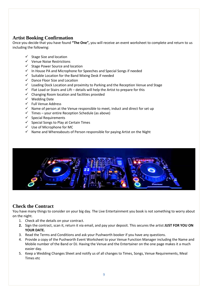# <span id="page-8-0"></span>**Artist Booking Confirmation**

Once you decide that you have found **"The One",** you will receive an event worksheet to complete and return to us including the following:

- $\checkmark$  Stage Size and location
- ✓ Venue Noise Restrictions
- ✓ Stage Power Source and location
- $\checkmark$  In House PA and Microphone for Speeches and Special Songs if needed
- $\checkmark$  Suitable Location for the Band Mixing Desk if needed
- ✓ Dance Floor Size and Location
- ✓ Loading Dock Location and proximity to Parking and the Reception Venue and Stage
- $\checkmark$  Flat Load or Stairs and Lift details will help the Artist to prepare for this
- ✓ Changing Room location and facilities provided
- ✓ Wedding Date
- ✓ Full Venue Address
- $\checkmark$  Name of person at the Venue responsible to meet, induct and direct for set up
- $\checkmark$  Times your entire Reception Schedule (as above)
- $\checkmark$  Special Requirements
- $\checkmark$  Special Songs to Play at Certain Times
- ✓ Use of Microphone for MC
- $\checkmark$  Name and Whereabouts of Person responsible for paying Artist on the Night



# <span id="page-8-1"></span>**Check the Contract**

You have many things to consider on your big day. The Live Entertainment you book is not something to worry about on the night.

- 1. Check all the details on your contract.
- **2.** Sign the contract, scan it, return it via email, and pay your deposit. This secures the artist **JUST FOR YOU ON YOUR DATE.**
- 3. Read the Terms and Conditions and ask your Pushworth booker if you have any questions.
- 4. Provide a copy of the Pushworth Event Worksheet to your Venue Function Manager including the Name and Mobile number of the Band or DJ. Having the Venue and the Entertainer on the one page makes it a much easier day.
- 5. Keep a Wedding Changes Sheet and notify us of all changes to Times, Songs, Venue Requirements, Meal Times etc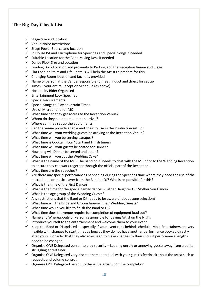# <span id="page-9-0"></span>**The Big Day Check List**

- $\checkmark$  Stage Size and location
- ✓ Venue Noise Restrictions
- ✓ Stage Power Source and location
- $\checkmark$  In House PA and Microphone for Speeches and Special Songs if needed
- $\checkmark$  Suitable Location for the Band Mixing Desk if needed
- ✓ Dance Floor Size and Location
- ✓ Loading Dock Location and proximity to Parking and the Reception Venue and Stage
- $\checkmark$  Flat Load or Stairs and Lift details will help the Artist to prepare for this
- $\checkmark$  Changing Room location and facilities provided
- $\checkmark$  Name of person at the Venue responsible to meet, induct and direct for set up
- $\checkmark$  Times your entire Reception Schedule (as above)
- ✓ Hospitality Rider Organised
- ✓ Entertainment Look Specified
- $\checkmark$  Special Requirements
- $\checkmark$  Special Songs to Play at Certain Times
- ✓ Use of Microphone for MC
- $\checkmark$  What time can they get access to the Reception Venue?
- $\checkmark$  Whom do they need to meet upon arrival?
- $\checkmark$  Where can they set up the equipment?
- $\checkmark$  Can the venue provide a table and chair to use in the Production set up?
- ✓ What time will your wedding guests be arriving at the Reception Venue?
- $\checkmark$  What time will you be serving canapes?
- ✓ What time is Cocktail Hour? Start and Finish times?
- ✓ What time will your guests be seated for Dinner?
- ✓ How long will Dinner be served and eaten?
- ✓ What time will you cut the Wedding Cake?
- ✓ What is the name of the MC? The Band or DJ needs to chat with the MC prior to the Wedding Reception to ensure they can work together through the official part of the Reception.
- $\checkmark$  What time are the speeches?
- $\checkmark$  Are there any special performances happening during the Speeches time where they need the use of the microphone or music player from the Band or DJ? Who is responsible for this?
- $\checkmark$  What is the time of the First Dance?
- $\checkmark$  What is the time for the special family dances Father Daughter OR Mother Son Dance?
- ✓ What is the age group of the Wedding Guests?
- $\checkmark$  Any restrictions that the Band or DJ needs to be aware of about song selection?
- $\checkmark$  What time will the Bride and Groom farewell their Wedding Guests?
- $\checkmark$  What time would you like to finish the Band or DJ?
- $\checkmark$  What time does the venue require for completion of equipment load out?
- ✓ Name and Whereabouts of Person responsible for paying Artist on the Night
- $\checkmark$  Introduce yourself to the entertainment and welcome them to your event.
- $\checkmark$  Keep the Band or DJ updated especially if your event runs behind schedule. Most Entertainers are very flexible with changes to start times as long as they do not have another performance booked directly after yours. Consider that they also may need to make changes to their show if performance lengths need to be changed.
- $\checkmark$  Organise ONE Delegated person to play security keeping unruly or annoying guests away from a polite struggling entertainer.
- $\checkmark$  Organise ONE Delegated very discreet person to deal with your guest's feedback about the artist such as requests and volume control.
- $\checkmark$  Organise ONE Delegated person to thank the artist upon the completion